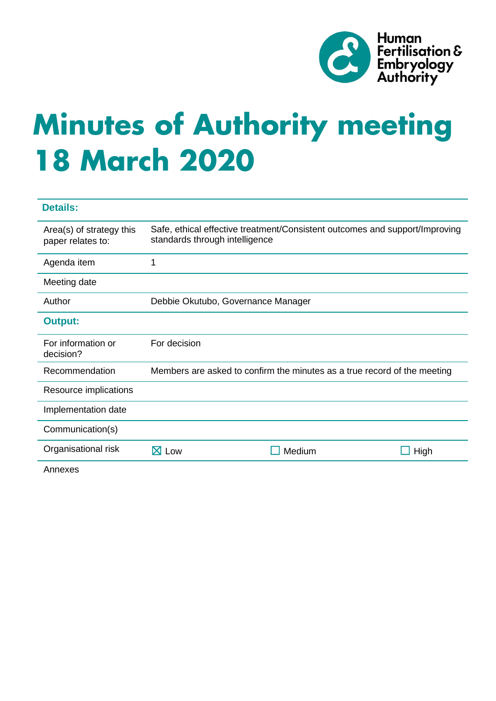

# **Minutes of Authority meeting 18 March 2020**

| <b>Details:</b>                               |                                                                          |                                                                             |      |
|-----------------------------------------------|--------------------------------------------------------------------------|-----------------------------------------------------------------------------|------|
| Area(s) of strategy this<br>paper relates to: | standards through intelligence                                           | Safe, ethical effective treatment/Consistent outcomes and support/Improving |      |
| Agenda item                                   | 1                                                                        |                                                                             |      |
| Meeting date                                  |                                                                          |                                                                             |      |
| Author                                        | Debbie Okutubo, Governance Manager                                       |                                                                             |      |
| <b>Output:</b>                                |                                                                          |                                                                             |      |
| For information or<br>decision?               | For decision                                                             |                                                                             |      |
| Recommendation                                | Members are asked to confirm the minutes as a true record of the meeting |                                                                             |      |
| Resource implications                         |                                                                          |                                                                             |      |
| Implementation date                           |                                                                          |                                                                             |      |
| Communication(s)                              |                                                                          |                                                                             |      |
| Organisational risk                           | $\boxtimes$ Low                                                          | Medium                                                                      | High |
| Annexes                                       |                                                                          |                                                                             |      |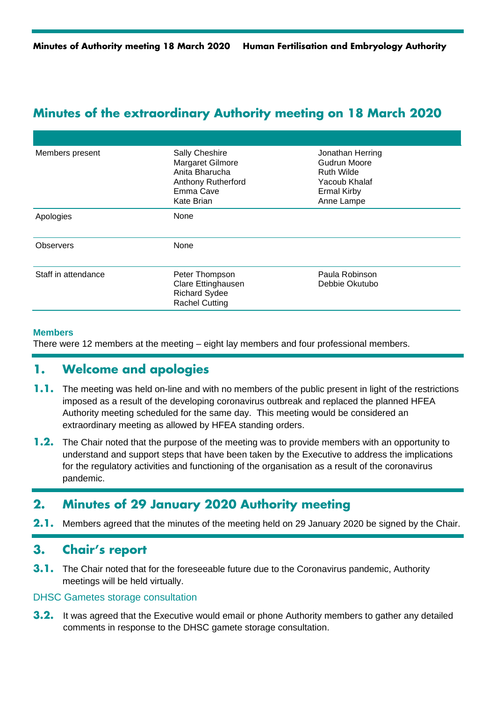## **Minutes of the extraordinary Authority meeting on 18 March 2020**

| Members present     | <b>Sally Cheshire</b><br>Margaret Gilmore<br>Anita Bharucha<br><b>Anthony Rutherford</b><br>Emma Cave<br><b>Kate Brian</b> | Jonathan Herring<br><b>Gudrun Moore</b><br>Ruth Wilde<br>Yacoub Khalaf<br><b>Ermal Kirby</b><br>Anne Lampe |  |
|---------------------|----------------------------------------------------------------------------------------------------------------------------|------------------------------------------------------------------------------------------------------------|--|
| Apologies           | <b>None</b>                                                                                                                |                                                                                                            |  |
| <b>Observers</b>    | None                                                                                                                       |                                                                                                            |  |
| Staff in attendance | Peter Thompson<br>Clare Ettinghausen<br><b>Richard Sydee</b><br><b>Rachel Cutting</b>                                      | Paula Robinson<br>Debbie Okutubo                                                                           |  |

#### **Members**

There were 12 members at the meeting – eight lay members and four professional members.

## **1. Welcome and apologies**

- **1.1.** The meeting was held on-line and with no members of the public present in light of the restrictions imposed as a result of the developing coronavirus outbreak and replaced the planned HFEA Authority meeting scheduled for the same day. This meeting would be considered an extraordinary meeting as allowed by HFEA standing orders.
- **1.2.** The Chair noted that the purpose of the meeting was to provide members with an opportunity to understand and support steps that have been taken by the Executive to address the implications for the regulatory activities and functioning of the organisation as a result of the coronavirus pandemic.

## **2. Minutes of 29 January 2020 Authority meeting**

**2.1.** Members agreed that the minutes of the meeting held on 29 January 2020 be signed by the Chair.

## **3. Chair's report**

**3.1.** The Chair noted that for the foreseeable future due to the Coronavirus pandemic, Authority meetings will be held virtually.

#### DHSC Gametes storage consultation

**3.2.** It was agreed that the Executive would email or phone Authority members to gather any detailed comments in response to the DHSC gamete storage consultation.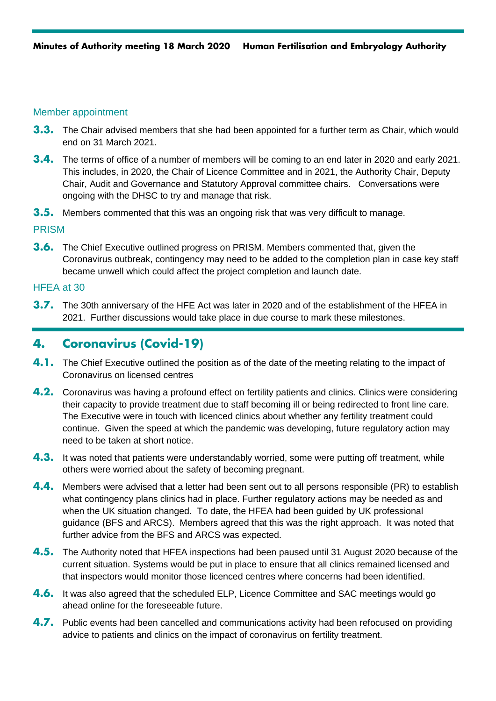#### Member appointment

- **3.3.** The Chair advised members that she had been appointed for a further term as Chair, which would end on 31 March 2021.
- **3.4.** The terms of office of a number of members will be coming to an end later in 2020 and early 2021. This includes, in 2020, the Chair of Licence Committee and in 2021, the Authority Chair, Deputy Chair, Audit and Governance and Statutory Approval committee chairs. Conversations were ongoing with the DHSC to try and manage that risk.
- **3.5.** Members commented that this was an ongoing risk that was very difficult to manage.

#### PRISM

**3.6.** The Chief Executive outlined progress on PRISM. Members commented that, given the Coronavirus outbreak, contingency may need to be added to the completion plan in case key staff became unwell which could affect the project completion and launch date.

#### HFEA at 30

**3.7.** The 30th anniversary of the HFE Act was later in 2020 and of the establishment of the HFEA in 2021. Further discussions would take place in due course to mark these milestones.

## **4. Coronavirus (Covid-19)**

- **4.1.** The Chief Executive outlined the position as of the date of the meeting relating to the impact of Coronavirus on licensed centres
- **4.2.** Coronavirus was having a profound effect on fertility patients and clinics. Clinics were considering their capacity to provide treatment due to staff becoming ill or being redirected to front line care. The Executive were in touch with licenced clinics about whether any fertility treatment could continue. Given the speed at which the pandemic was developing, future regulatory action may need to be taken at short notice.
- **4.3.** It was noted that patients were understandably worried, some were putting off treatment, while others were worried about the safety of becoming pregnant.
- **4.4.** Members were advised that a letter had been sent out to all persons responsible (PR) to establish what contingency plans clinics had in place. Further regulatory actions may be needed as and when the UK situation changed. To date, the HFEA had been guided by UK professional guidance (BFS and ARCS). Members agreed that this was the right approach. It was noted that further advice from the BFS and ARCS was expected.
- **4.5.** The Authority noted that HFEA inspections had been paused until 31 August 2020 because of the current situation. Systems would be put in place to ensure that all clinics remained licensed and that inspectors would monitor those licenced centres where concerns had been identified.
- **4.6.** It was also agreed that the scheduled ELP, Licence Committee and SAC meetings would go ahead online for the foreseeable future.
- **4.7.** Public events had been cancelled and communications activity had been refocused on providing advice to patients and clinics on the impact of coronavirus on fertility treatment.